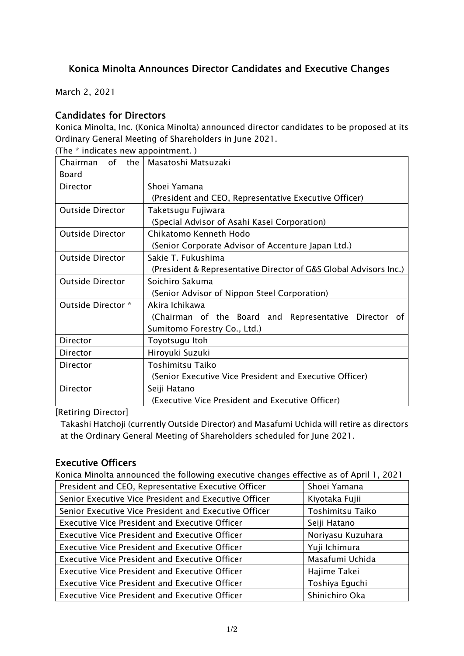# Konica Minolta Announces Director Candidates and Executive Changes

March 2, 2021

#### Candidates for Directors

Konica Minolta, Inc. (Konica Minolta) announced director candidates to be proposed at its Ordinary General Meeting of Shareholders in June 2021. (The \* indicates new appointment. )

| $(111e - 11101$ Cates them appointment. $(111e - 111e - 111e - 111e - 111e - 111e - 111e - 111e - 111e - 111e - 111e - 111e - 111e - 111e - 111e - 111e - 111e - 111e - 111e - 111e - 111e - 111e - 111e - 111e - 111e - 111e - 111e - 111e - 111e - 111e - $ |                                                                   |  |  |  |  |
|---------------------------------------------------------------------------------------------------------------------------------------------------------------------------------------------------------------------------------------------------------------|-------------------------------------------------------------------|--|--|--|--|
| the<br>0f<br>Chairman                                                                                                                                                                                                                                         | Masatoshi Matsuzaki                                               |  |  |  |  |
| Board                                                                                                                                                                                                                                                         |                                                                   |  |  |  |  |
| Director                                                                                                                                                                                                                                                      | Shoei Yamana                                                      |  |  |  |  |
|                                                                                                                                                                                                                                                               | (President and CEO, Representative Executive Officer)             |  |  |  |  |
| <b>Outside Director</b>                                                                                                                                                                                                                                       | Taketsugu Fujiwara                                                |  |  |  |  |
|                                                                                                                                                                                                                                                               | (Special Advisor of Asahi Kasei Corporation)                      |  |  |  |  |
| <b>Outside Director</b>                                                                                                                                                                                                                                       | Chikatomo Kenneth Hodo                                            |  |  |  |  |
|                                                                                                                                                                                                                                                               | (Senior Corporate Advisor of Accenture Japan Ltd.)                |  |  |  |  |
| <b>Outside Director</b>                                                                                                                                                                                                                                       | Sakie T. Fukushima                                                |  |  |  |  |
|                                                                                                                                                                                                                                                               | (President & Representative Director of G&S Global Advisors Inc.) |  |  |  |  |
| <b>Outside Director</b>                                                                                                                                                                                                                                       | Soichiro Sakuma                                                   |  |  |  |  |
|                                                                                                                                                                                                                                                               | (Senior Advisor of Nippon Steel Corporation)                      |  |  |  |  |
| Outside Director *                                                                                                                                                                                                                                            | Akira Ichikawa                                                    |  |  |  |  |
|                                                                                                                                                                                                                                                               | (Chairman of the Board and Representative Director of             |  |  |  |  |
|                                                                                                                                                                                                                                                               | Sumitomo Forestry Co., Ltd.)                                      |  |  |  |  |
| Director                                                                                                                                                                                                                                                      | Toyotsugu Itoh                                                    |  |  |  |  |
| Director                                                                                                                                                                                                                                                      | Hiroyuki Suzuki                                                   |  |  |  |  |
| Director                                                                                                                                                                                                                                                      | <b>Toshimitsu Taiko</b>                                           |  |  |  |  |
|                                                                                                                                                                                                                                                               | (Senior Executive Vice President and Executive Officer)           |  |  |  |  |
| Director                                                                                                                                                                                                                                                      | Seiji Hatano                                                      |  |  |  |  |
|                                                                                                                                                                                                                                                               | (Executive Vice President and Executive Officer)                  |  |  |  |  |

[Retiring Director]

Takashi Hatchoji (currently Outside Director) and Masafumi Uchida will retire as directors at the Ordinary General Meeting of Shareholders scheduled for June 2021.

## Executive Officers

Konica Minolta announced the following executive changes effective as of April 1, 2021

| President and CEO, Representative Executive Officer   | Shoei Yamana      |  |
|-------------------------------------------------------|-------------------|--|
| Senior Executive Vice President and Executive Officer | Kiyotaka Fujii    |  |
| Senior Executive Vice President and Executive Officer | Toshimitsu Taiko  |  |
| <b>Executive Vice President and Executive Officer</b> | Seiji Hatano      |  |
| <b>Executive Vice President and Executive Officer</b> | Noriyasu Kuzuhara |  |
| <b>Executive Vice President and Executive Officer</b> | Yuji Ichimura     |  |
| <b>Executive Vice President and Executive Officer</b> | Masafumi Uchida   |  |
| <b>Executive Vice President and Executive Officer</b> | Hajime Takei      |  |
| <b>Executive Vice President and Executive Officer</b> | Toshiya Eguchi    |  |
| <b>Executive Vice President and Executive Officer</b> | Shinichiro Oka    |  |